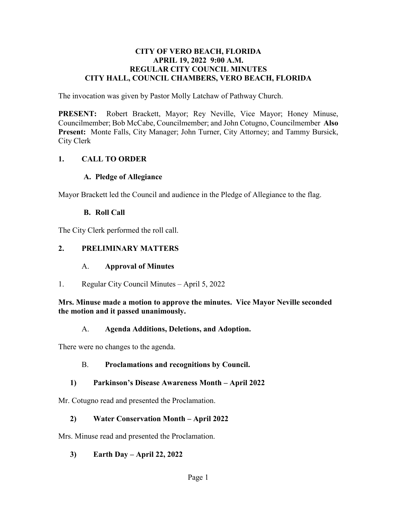#### **CITY OF VERO BEACH, FLORIDA APRIL 19, 2022 9:00 A.M. REGULAR CITY COUNCIL MINUTES CITY HALL, COUNCIL CHAMBERS, VERO BEACH, FLORIDA**

The invocation was given by Pastor Molly Latchaw of Pathway Church.

**PRESENT:**  Councilmember; Bob McCabe, Councilmember; and John Cotugno, Councilmember **Also Present:** Monte Falls, City Manager; John Turner, City Attorney; and Tammy Bursick, Robert Brackett, Mayor; Rey Neville, Vice Mayor; Honey Minuse, City Clerk

#### **1. CALL TO ORDER**

#### **A. Pledge of Allegiance**

Mayor Brackett led the Council and audience in the Pledge of Allegiance to the flag.

#### **B. Roll Call**

The City Clerk performed the roll call.

#### **2. PRELIMINARY MATTERS**

#### $A_{\cdot}$ A. **Approval of Minutes**

1. Regular City Council Minutes – April 5, 2022

#### **Mrs. Minuse made a motion to approve the minutes. Vice Mayor Neville seconded the motion and it passed unanimously.**

#### A. **Agenda Additions, Deletions, and Adoption.**

There were no changes to the agenda.

#### B. **Proclamations and recognitions by Council.**

#### **1) Parkinson's Disease Awareness Month – April 2022**

Mr. Cotugno read and presented the Proclamation.

#### **2) Water Conservation Month – April 2022**

Mrs. Minuse read and presented the Proclamation.

**3) Earth Day – April 22, 2022**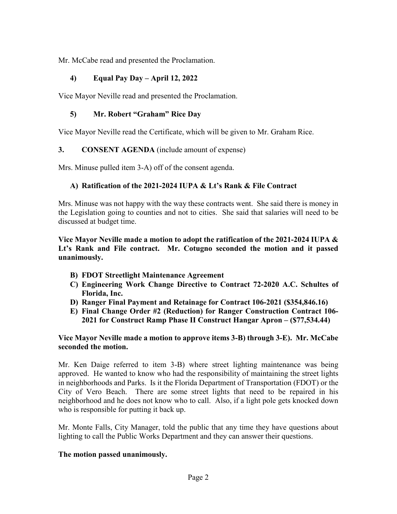Mr. McCabe read and presented the Proclamation.

#### **4) Equal Pay Day – April 12, 2022**

Vice Mayor Neville read and presented the Proclamation.

#### **5) Mr. Robert "Graham" Rice Day**

Vice Mayor Neville read the Certificate, which will be given to Mr. Graham Rice.

#### **3. CONSENT AGENDA** (include amount of expense)

Mrs. Minuse pulled item 3-A) off of the consent agenda.

#### **A) Ratification of the 2021-2024 IUPA & Lt's Rank & File Contract**

 Mrs. Minuse was not happy with the way these contracts went. She said there is money in the Legislation going to counties and not to cities. She said that salaries will need to be discussed at budget time.

 **Vice Mayor Neville made a motion to adopt the ratification of the 2021-2024 IUPA & Lt's Rank and File contract. Mr. Cotugno seconded the motion and it passed unanimously.** 

- **B) FDOT Streetlight Maintenance Agreement**
- **C) Engineering Work Change Directive to Contract 72-2020 A.C. Schultes of Florida, Inc.**
- **D) Ranger Final Payment and Retainage for Contract 106-2021 (\$[354,846.16](https://354,846.16))**
- **E) Final Change Order #2 (Reduction) for Ranger Construction Contract 106- 2021 for Construct Ramp Phase II Construct Hangar Apron – ([\\$77,534.44](https://77,534.44))**

#### **Vice Mayor Neville made a motion to approve items 3-B) through 3-E). Mr. McCabe seconded the motion.**

 City of Vero Beach. There are some street lights that need to be repaired in his Mr. Ken Daige referred to item 3-B) where street lighting maintenance was being approved. He wanted to know who had the responsibility of maintaining the street lights in neighborhoods and Parks. Is it the Florida Department of Transportation (FDOT) or the neighborhood and he does not know who to call. Also, if a light pole gets knocked down who is responsible for putting it back up.

Mr. Monte Falls, City Manager, told the public that any time they have questions about lighting to call the Public Works Department and they can answer their questions.

#### **The motion passed unanimously.**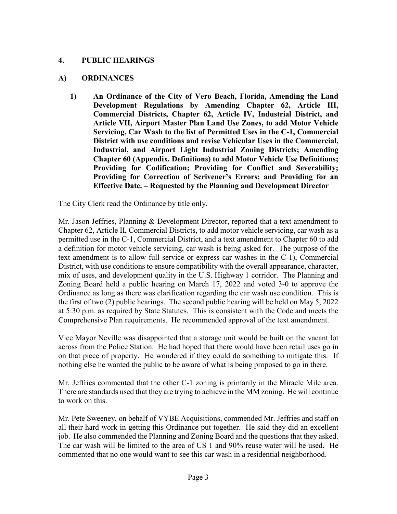#### **4. PUBLIC HEARINGS**

#### **A) ORDINANCES**

 **Industrial, and Airport Light Industrial Zoning Districts; Amending Providing for Correction of Scrivener's Errors; and Providing for an 1) An Ordinance of the City of Vero Beach, Florida, Amending the Land Development Regulations by Amending Chapter 62, Article III, Commercial Districts, Chapter 62, Article IV, Industrial District, and Article VII, Airport Master Plan Land Use Zones, to add Motor Vehicle Servicing, Car Wash to the list of Permitted Uses in the C-1, Commercial District with use conditions and revise Vehicular Uses in the Commercial, Chapter 60 (Appendix. Definitions) to add Motor Vehicle Use Definitions; Providing for Codification; Providing for Conflict and Severability; Effective Date. – Requested by the Planning and Development Director** 

The City Clerk read the Ordinance by title only.

 Mr. Jason Jeffries, Planning & Development Director, reported that a text amendment to Chapter 62, Article II, Commercial Districts, to add motor vehicle servicing, car wash as a permitted use in the C-1, Commercial District, and a text amendment to Chapter 60 to add Comprehensive Plan requirements. He recommended approval of the text amendment. a definition for motor vehicle servicing, car wash is being asked for. The purpose of the text amendment is to allow full service or express car washes in the C-1), Commercial District, with use conditions to ensure compatibility with the overall appearance, character, mix of uses, and development quality in the U.S. Highway 1 corridor. The Planning and Zoning Board held a public hearing on March 17, 2022 and voted 3-0 to approve the Ordinance as long as there was clarification regarding the car wash use condition. This is the first of two (2) public hearings. The second public hearing will be held on May 5, 2022 at 5:30 p.m. as required by State Statutes. This is consistent with the Code and meets the

 on that piece of property. He wondered if they could do something to mitigate this. If Vice Mayor Neville was disappointed that a storage unit would be built on the vacant lot across from the Police Station. He had hoped that there would have been retail uses go in nothing else he wanted the public to be aware of what is being proposed to go in there.

Mr. Jeffries commented that the other C-1 zoning is primarily in the Miracle Mile area. There are standards used that they are trying to achieve in the MM zoning. He will continue to work on this.

 all their hard work in getting this Ordinance put together. He said they did an excellent job. He also commended the Planning and Zoning Board and the questions that they asked. The car wash will be limited to the area of US 1 and 90% reuse water will be used. He Mr. Pete Sweeney, on behalf of VYBE Acquisitions, commended Mr. Jeffries and staff on commented that no one would want to see this car wash in a residential neighborhood.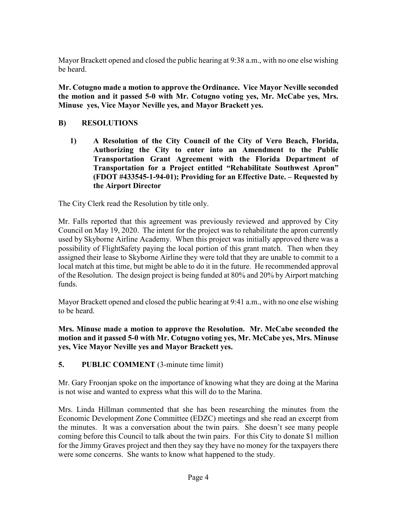Mayor Brackett opened and closed the public hearing at 9:38 a.m., with no one else wishing be heard.

 **Minuse yes, Vice Mayor Neville yes, and Mayor Brackett yes. B) RESOLUTIONS Mr. Cotugno made a motion to approve the Ordinance. Vice Mayor Neville seconded the motion and it passed 5-0 with Mr. Cotugno voting yes, Mr. McCabe yes, Mrs.** 

 **Authorizing the City to enter into an Amendment to the Public 1) A Resolution of the City Council of the City of Vero Beach, Florida, Transportation Grant Agreement with the Florida Department of Transportation for a Project entitled "Rehabilitate Southwest Apron" (FDOT #433545-1-94-01); Providing for an Effective Date. – Requested by the Airport Director** 

The City Clerk read the Resolution by title only.

 used by Skyborne Airline Academy. When this project was initially approved there was a assigned their lease to Skyborne Airline they were told that they are unable to commit to a Mr. Falls reported that this agreement was previously reviewed and approved by City Council on May 19, 2020. The intent for the project was to rehabilitate the apron currently possibility of FlightSafety paying the local portion of this grant match. Then when they local match at this time, but might be able to do it in the future. He recommended approval of the Resolution. The design project is being funded at 80% and 20% by Airport matching funds.

Mayor Brackett opened and closed the public hearing at 9:41 a.m., with no one else wishing to be heard.

**Mrs. Minuse made a motion to approve the Resolution. Mr. McCabe seconded the motion and it passed 5-0 with Mr. Cotugno voting yes, Mr. McCabe yes, Mrs. Minuse yes, Vice Mayor Neville yes and Mayor Brackett yes.** 

**5. PUBLIC COMMENT** (3-minute time limit)

is not wise and wanted to express what this will do to the Marina. Mr. Gary Froonjan spoke on the importance of knowing what they are doing at the Marina

 Economic Development Zone Committee (EDZC) meetings and she read an excerpt from Mrs. Linda Hillman commented that she has been researching the minutes from the the minutes. It was a conversation about the twin pairs. She doesn't see many people coming before this Council to talk about the twin pairs. For this City to donate \$1 million for the Jimmy Graves project and then they say they have no money for the taxpayers there were some concerns. She wants to know what happened to the study.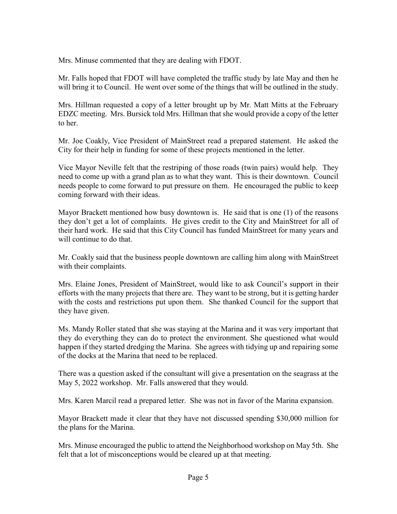Mrs. Minuse commented that they are dealing with FDOT.

Mrs. Minuse commented that they are dealing with FDOT.<br>Mr. Falls hoped that FDOT will have completed the traffic study by late May and then he will bring it to Council. He went over some of the things that will be outlined in the study.

will bring it to Council. He went over some of the things that will be outlined in the study.<br>Mrs. Hillman requested a copy of a letter brought up by Mr. Matt Mitts at the February EDZC meeting. Mrs. Bursick told Mrs. Hillman that she would provide a copy of the letter to her.

 Mr. Joe Coakly, Vice President of MainStreet read a prepared statement. He asked the City for their help in funding for some of these projects mentioned in the letter.

 Vice Mayor Neville felt that the restriping of those roads (twin pairs) would help. They need to come up with a grand plan as to what they want. This is their downtown. Council needs people to come forward to put pressure on them. He encouraged the public to keep coming forward with their ideas.

 Mayor Brackett mentioned how busy downtown is. He said that is one (1) of the reasons they don't get a lot of complaints. He gives credit to the City and MainStreet for all of their hard work. He said that this City Council has funded MainStreet for many years and will continue to do that.

 Mr. Coakly said that the business people downtown are calling him along with MainStreet with their complaints.

 Mrs. Elaine Jones, President of MainStreet, would like to ask Council's support in their efforts with the many projects that there are. They want to be strong, but it is getting harder they have given. with the costs and restrictions put upon them. She thanked Council for the support that

 Ms. Mandy Roller stated that she was staying at the Marina and it was very important that they do everything they can do to protect the environment. She questioned what would happen if they started dredging the Marina. She agrees with tidying up and repairing some of the docks at the Marina that need to be replaced.

 May 5, 2022 workshop. Mr. Falls answered that they would. There was a question asked if the consultant will give a presentation on the seagrass at the

Mrs. Karen Marcil read a prepared letter. She was not in favor of the Marina expansion.

 the plans for the Marina. Mayor Brackett made it clear that they have not discussed spending \$30,000 million for

Mrs. Minuse encouraged the public to attend the Neighborhood workshop on May 5th. She felt that a lot of misconceptions would be cleared up at that meeting.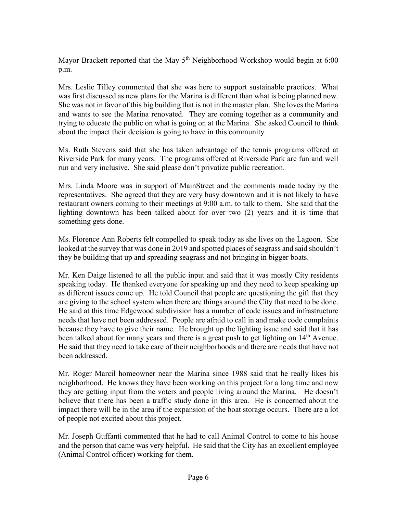Mayor Brackett reported that the May 5<sup>th</sup> Neighborhood Workshop would begin at 6:00 p.m.

 She was not in favor of this big building that is not in the master plan. She loves the Marina about the impact their decision is going to have in this community. Mrs. Leslie Tilley commented that she was here to support sustainable practices. What was first discussed as new plans for the Marina is different than what is being planned now. and wants to see the Marina renovated. They are coming together as a community and trying to educate the public on what is going on at the Marina. She asked Council to think

 Ms. Ruth Stevens said that she has taken advantage of the tennis programs offered at Riverside Park for many years. The programs offered at Riverside Park are fun and well run and very inclusive. She said please don't privatize public recreation.

 Mrs. Linda Moore was in support of MainStreet and the comments made today by the representatives. She agreed that they are very busy downtown and it is not likely to have restaurant owners coming to their meetings at 9:00 a.m. to talk to them. She said that the lighting downtown has been talked about for over two (2) years and it is time that something gets done.

 Ms. Florence Ann Roberts felt compelled to speak today as she lives on the Lagoon. She looked at the survey that was done in 2019 and spotted places of seagrass and said shouldn't they be building that up and spreading seagrass and not bringing in bigger boats.

 are giving to the school system when there are things around the City that need to be done. He said at this time Edgewood subdivision has a number of code issues and infrastructure because they have to give their name. He brought up the lighting issue and said that it has Mr. Ken Daige listened to all the public input and said that it was mostly City residents speaking today. He thanked everyone for speaking up and they need to keep speaking up as different issues come up. He told Council that people are questioning the gift that they needs that have not been addressed. People are afraid to call in and make code complaints been talked about for many years and there is a great push to get lighting on 14<sup>th</sup> Avenue. He said that they need to take care of their neighborhoods and there are needs that have not been addressed.

 Mr. Roger Marcil homeowner near the Marina since 1988 said that he really likes his neighborhood. He knows they have been working on this project for a long time and now they are getting input from the voters and people living around the Marina. He doesn't impact there will be in the area if the expansion of the boat storage occurs. There are a lot believe that there has been a traffic study done in this area. He is concerned about the of people not excited about this project.

Mr. Joseph Guffanti commented that he had to call Animal Control to come to his house and the person that came was very helpful. He said that the City has an excellent employee (Animal Control officer) working for them.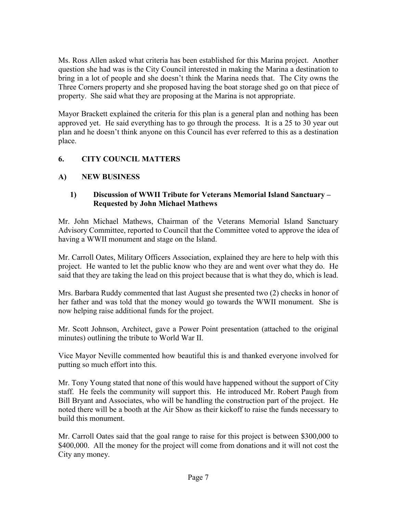bring in a lot of people and she doesn't think the Marina needs that. The City owns the Ms. Ross Allen asked what criteria has been established for this Marina project. Another question she had was is the City Council interested in making the Marina a destination to Three Corners property and she proposed having the boat storage shed go on that piece of property. She said what they are proposing at the Marina is not appropriate.

 approved yet. He said everything has to go through the process. It is a 25 to 30 year out Mayor Brackett explained the criteria for this plan is a general plan and nothing has been plan and he doesn't think anyone on this Council has ever referred to this as a destination place.

#### **6. CITY COUNCIL MATTERS**

#### **A) NEW BUSINESS**

#### **1) Discussion of WWII Tribute for Veterans Memorial Island Sanctuary – Requested by John Michael Mathews**

 Advisory Committee, reported to Council that the Committee voted to approve the idea of having a WWII monument and stage on the Island. Mr. John Michael Mathews, Chairman of the Veterans Memorial Island Sanctuary

 Mr. Carroll Oates, Military Officers Association, explained they are here to help with this project. He wanted to let the public know who they are and went over what they do. He said that they are taking the lead on this project because that is what they do, which is lead.

Mrs. Barbara Ruddy commented that last August she presented two (2) checks in honor of her father and was told that the money would go towards the WWII monument. She is now helping raise additional funds for the project.

Mr. Scott Johnson, Architect, gave a Power Point presentation (attached to the original minutes) outlining the tribute to World War II.

 Vice Mayor Neville commented how beautiful this is and thanked everyone involved for putting so much effort into this.

 Mr. Tony Young stated that none of this would have happened without the support of City staff. He feels the community will support this. He introduced Mr. Robert Paugh from noted there will be a booth at the Air Show as their kickoff to raise the funds necessary to build this monument. Bill Bryant and Associates, who will be handling the construction part of the project. He

 Mr. Carroll Oates said that the goal range to raise for this project is between \$300,000 to \$400,000. All the money for the project will come from donations and it will not cost the City any money.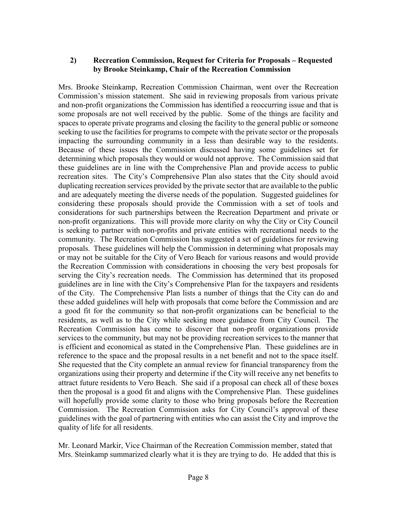#### **2) Recreation Commission, Request for Criteria for Proposals – Requested by Brooke Steinkamp, Chair of the Recreation Commission**

 some proposals are not well received by the public. Some of the things are facility and Because of these issues the Commission discussed having some guidelines set for recreation sites. The City's Comprehensive Plan also states that the City should avoid and are adequately meeting the diverse needs of the population. Suggested guidelines for considerations for such partnerships between the Recreation Department and private or of the City. The Comprehensive Plan lists a number of things that the City can do and residents, as well as to the City while seeking more guidance from City Council. The Recreation Commission has come to discover that non-profit organizations provide is efficient and economical as stated in the Comprehensive Plan. These guidelines are in She requested that the City complete an annual review for financial transparency from the guidelines with the goal of partnering with entities who can assist the City and improve the Mrs. Brooke Steinkamp, Recreation Commission Chairman, went over the Recreation Commission's mission statement. She said in reviewing proposals from various private and non-profit organizations the Commission has identified a reoccurring issue and that is spaces to operate private programs and closing the facility to the general public or someone seeking to use the facilities for programs to compete with the private sector or the proposals impacting the surrounding community in a less than desirable way to the residents. determining which proposals they would or would not approve. The Commission said that these guidelines are in line with the Comprehensive Plan and provide access to public duplicating recreation services provided by the private sector that are available to the public considering these proposals should provide the Commission with a set of tools and non-profit organizations. This will provide more clarity on why the City or City Council is seeking to partner with non-profits and private entities with recreational needs to the community. The Recreation Commission has suggested a set of guidelines for reviewing proposals. These guidelines will help the Commission in determining what proposals may or may not be suitable for the City of Vero Beach for various reasons and would provide the Recreation Commission with considerations in choosing the very best proposals for serving the City's recreation needs. The Commission has determined that its proposed guidelines are in line with the City's Comprehensive Plan for the taxpayers and residents these added guidelines will help with proposals that come before the Commission and are a good fit for the community so that non-profit organizations can be beneficial to the services to the community, but may not be providing recreation services to the manner that reference to the space and the proposal results in a net benefit and not to the space itself. organizations using their property and determine if the City will receive any net benefits to attract future residents to Vero Beach. She said if a proposal can check all of these boxes then the proposal is a good fit and aligns with the Comprehensive Plan. These guidelines will hopefully provide some clarity to those who bring proposals before the Recreation Commission. The Recreation Commission asks for City Council's approval of these quality of life for all residents.

Mr. Leonard Markir, Vice Chairman of the Recreation Commission member, stated that Mrs. Steinkamp summarized clearly what it is they are trying to do. He added that this is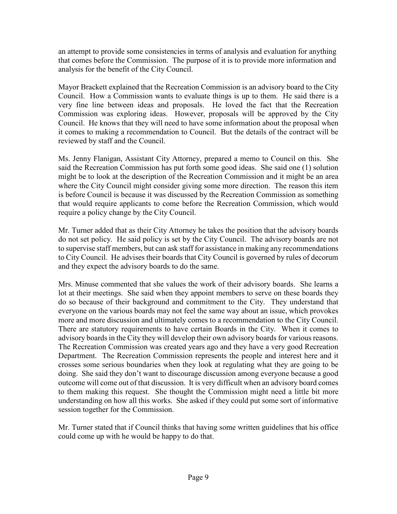that comes before the Commission. The purpose of it is to provide more information and an attempt to provide some consistencies in terms of analysis and evaluation for anything analysis for the benefit of the City Council.

 it comes to making a recommendation to Council. But the details of the contract will be Mayor Brackett explained that the Recreation Commission is an advisory board to the City Council. How a Commission wants to evaluate things is up to them. He said there is a very fine line between ideas and proposals. He loved the fact that the Recreation Commission was exploring ideas. However, proposals will be approved by the City Council. He knows that they will need to have some information about the proposal when reviewed by staff and the Council.

Ms. Jenny Flanigan, Assistant City Attorney, prepared a memo to Council on this. She said the Recreation Commission has put forth some good ideas. She said one (1) solution might be to look at the description of the Recreation Commission and it might be an area where the City Council might consider giving some more direction. The reason this item is before Council is because it was discussed by the Recreation Commission as something that would require applicants to come before the Recreation Commission, which would require a policy change by the City Council.

Mr. Turner added that as their City Attorney he takes the position that the advisory boards do not set policy. He said policy is set by the City Council. The advisory boards are not to supervise staff members, but can ask staff for assistance in making any recommendations to City Council. He advises their boards that City Council is governed by rules of decorum and they expect the advisory boards to do the same.

 advisory boards in the City they will develop their own advisory boards for various reasons. crosses some serious boundaries when they look at regulating what they are going to be doing. She said they don't want to discourage discussion among everyone because a good understanding on how all this works. She asked if they could put some sort of informative Mrs. Minuse commented that she values the work of their advisory boards. She learns a lot at their meetings. She said when they appoint members to serve on these boards they do so because of their background and commitment to the City. They understand that everyone on the various boards may not feel the same way about an issue, which provokes more and more discussion and ultimately comes to a recommendation to the City Council. There are statutory requirements to have certain Boards in the City. When it comes to The Recreation Commission was created years ago and they have a very good Recreation Department. The Recreation Commission represents the people and interest here and it outcome will come out of that discussion. It is very difficult when an advisory board comes to them making this request. She thought the Commission might need a little bit more session together for the Commission.

Mr. Turner stated that if Council thinks that having some written guidelines that his office could come up with he would be happy to do that.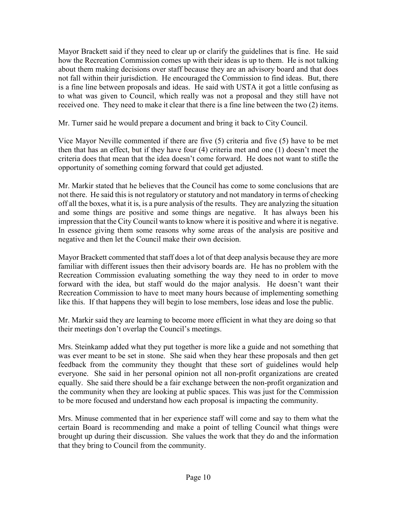not fall within their jurisdiction. He encouraged the Commission to find ideas. But, there received one. They need to make it clear that there is a fine line between the two (2) items. Mayor Brackett said if they need to clear up or clarify the guidelines that is fine. He said how the Recreation Commission comes up with their ideas is up to them. He is not talking about them making decisions over staff because they are an advisory board and that does is a fine line between proposals and ideas. He said with USTA it got a little confusing as to what was given to Council, which really was not a proposal and they still have not

Mr. Turner said he would prepare a document and bring it back to City Council.

 Vice Mayor Neville commented if there are five (5) criteria and five (5) have to be met then that has an effect, but if they have four (4) criteria met and one (1) doesn't meet the criteria does that mean that the idea doesn't come forward. He does not want to stifle the opportunity of something coming forward that could get adjusted.

 and some things are positive and some things are negative. It has always been his Mr. Markir stated that he believes that the Council has come to some conclusions that are not there. He said this is not regulatory or statutory and not mandatory in terms of checking off all the boxes, what it is, is a pure analysis of the results. They are analyzing the situation impression that the City Council wants to know where it is positive and where it is negative. In essence giving them some reasons why some areas of the analysis are positive and negative and then let the Council make their own decision.

 Mayor Brackett commented that staff does a lot of that deep analysis because they are more familiar with different issues then their advisory boards are. He has no problem with the Recreation Commission evaluating something the way they need to in order to move forward with the idea, but staff would do the major analysis. He doesn't want their Recreation Commission to have to meet many hours because of implementing something like this. If that happens they will begin to lose members, lose ideas and lose the public.

 Mr. Markir said they are learning to become more efficient in what they are doing so that their meetings don't overlap the Council's meetings.

 the community when they are looking at public spaces. This was just for the Commission Mrs. Steinkamp added what they put together is more like a guide and not something that was ever meant to be set in stone. She said when they hear these proposals and then get feedback from the community they thought that these sort of guidelines would help everyone. She said in her personal opinion not all non-profit organizations are created equally. She said there should be a fair exchange between the non-profit organization and to be more focused and understand how each proposal is impacting the community.

Mrs. Minuse commented that in her experience staff will come and say to them what the certain Board is recommending and make a point of telling Council what things were brought up during their discussion. She values the work that they do and the information that they bring to Council from the community.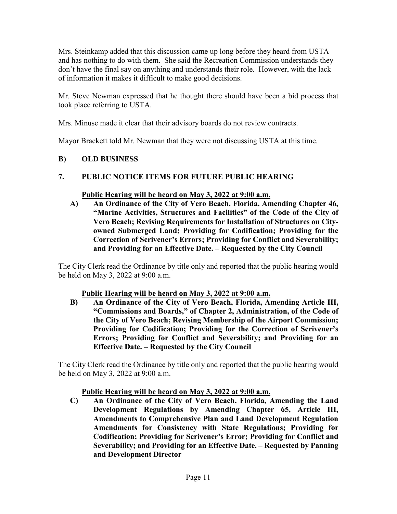Mrs. Steinkamp added that this discussion came up long before they heard from USTA and has nothing to do with them. She said the Recreation Commission understands they don't have the final say on anything and understands their role. However, with the lack of information it makes it difficult to make good decisions.

Mr. Steve Newman expressed that he thought there should have been a bid process that took place referring to USTA.

Mrs. Minuse made it clear that their advisory boards do not review contracts.

Mayor Brackett told Mr. Newman that they were not discussing USTA at this time.

#### **B) OLD BUSINESS**

# PUBLIC NOTICE ITEMS FOR FUTURE PUBLIC HEARING **7. PUBLIC NOTICE ITEMS FOR FUTURE PUBLIC HEARING Public Hearing will be heard on May 3, 2022 at 9:00 a.m.**

 **owned Submerged Land; Providing for Codification; Providing for the A) An Ordinance of the City of Vero Beach, Florida, Amending Chapter 46, "Marine Activities, Structures and Facilities" of the Code of the City of Vero Beach; Revising Requirements for Installation of Structures on City-Correction of Scrivener's Errors; Providing for Conflict and Severability; and Providing for an Effective Date. – Requested by the City Council** 

The City Clerk read the Ordinance by title only and reported that the public hearing would be held on May 3, 2022 at 9:00 a.m.

#### **Public Hearing will be heard on May 3, 2022 at 9:00 a.m.**

 **B) An Ordinance of the City of Vero Beach, Florida, Amending Article III, "Commissions and Boards," of Chapter 2, Administration, of the Code of the City of Vero Beach; Revising Membership of the Airport Commission; Providing for Codification; Providing for the Correction of Scrivener's Errors; Providing for Conflict and Severability; and Providing for an Effective Date. – Requested by the City Council** 

The City Clerk read the Ordinance by title only and reported that the public hearing would be held on May 3, 2022 at 9:00 a.m.

#### **Public Hearing will be heard on May 3, 2022 at 9:00 a.m.**

**C) An Ordinance of the City of Vero Beach, Florida, Amending the Land Development Regulations by Amending Chapter 65, Article III, Amendments to Comprehensive Plan and Land Development Regulation Amendments for Consistency with State Regulations; Providing for Codification; Providing for Scrivener's Error; Providing for Conflict and Severability; and Providing for an Effective Date. – Requested by Panning and Development Director**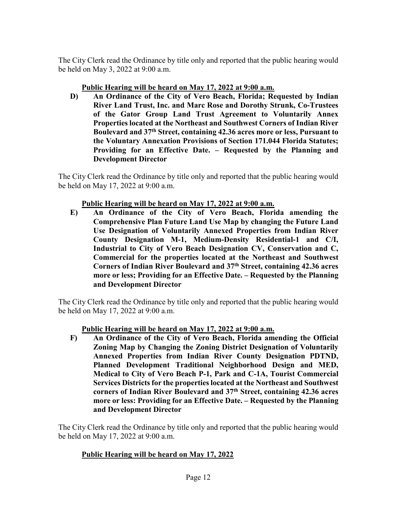The City Clerk read the Ordinance by title only and reported that the public hearing would be held on May 3, 2022 at 9:00 a.m.

#### **Public Hearing will be heard on May 17, 2022 at 9:00 a.m.**

 **Boulevard and 37th Street, containing 42.36 acres more or less, Pursuant to D) An Ordinance of the City of Vero Beach, Florida; Requested by Indian River Land Trust, Inc. and Marc Rose and Dorothy Strunk, Co-Trustees of the Gator Group Land Trust Agreement to Voluntarily Annex Properties located at the Northeast and Southwest Corners of Indian River the Voluntary Annexation Provisions of Section 171.044 Florida Statutes; Providing for an Effective Date. – Requested by the Planning and Development Director** 

The City Clerk read the Ordinance by title only and reported that the public hearing would be held on May 17, 2022 at 9:00 a.m.

#### **Public Hearing will be heard on May 17, 2022 at 9:00 a.m.**

 **Comprehensive Plan Future Land Use Map by changing the Future Land E) An Ordinance of the City of Vero Beach, Florida amending the Use Designation of Voluntarily Annexed Properties from Indian River County Designation M-1, Medium-Density Residential-1 and C/I, Industrial to City of Vero Beach Designation CV, Conservation and C, Commercial for the properties located at the Northeast and Southwest Corners of Indian River Boulevard and 37th Street, containing 42.36 acres more or less; Providing for an Effective Date. – Requested by the Planning and Development Director** 

The City Clerk read the Ordinance by title only and reported that the public hearing would be held on May 17, 2022 at 9:00 a.m.

#### **Public Hearing will be heard on May 17, 2022 at 9:00 a.m.**

**F) An Ordinance of the City of Vero Beach, Florida amending the Official Zoning Map by Changing the Zoning District Designation of Voluntarily Annexed Properties from Indian River County Designation PDTND, Planned Development Traditional Neighborhood Design and MED, Medical to City of Vero Beach P-1, Park and C-1A, Tourist Commercial Services Districts for the properties located at the Northeast and Southwest corners of Indian River Boulevard and 37th Street, containing 42.36 acres more or less: Providing for an Effective Date. – Requested by the Planning and Development Director** 

The City Clerk read the Ordinance by title only and reported that the public hearing would be held on May 17, 2022 at 9:00 a.m.

#### **Public Hearing will be heard on May 17, 2022**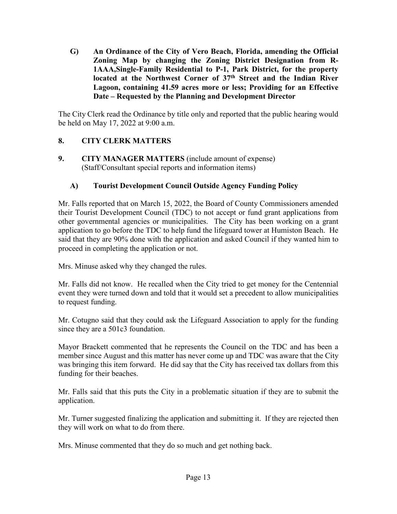**G) An Ordinance of the City of Vero Beach, Florida, amending the Official Zoning Map by changing the Zoning District Designation from R-1AAA,Single-Family Residential to P-1, Park District, for the property located at the Northwest Corner of 37th Street and the Indian River Lagoon, containing 41.59 acres more or less; Providing for an Effective Date – Requested by the Planning and Development Director** 

The City Clerk read the Ordinance by title only and reported that the public hearing would be held on May 17, 2022 at 9:00 a.m.

#### **8. CITY CLERK MATTERS**

 $\mathbf{Q}$  (Staff/Consultant special reports and information items) **9. CITY MANAGER MATTERS** (include amount of expense)

#### **A) Tourist Development Council Outside Agency Funding Policy**

Mr. Falls reported that on March 15, 2022, the Board of County Commissioners amended their Tourist Development Council (TDC) to not accept or fund grant applications from other governmental agencies or municipalities. The City has been working on a grant application to go before the TDC to help fund the lifeguard tower at Humiston Beach. He said that they are 90% done with the application and asked Council if they wanted him to proceed in completing the application or not.

Mrs. Minuse asked why they changed the rules.

 Mr. Falls did not know. He recalled when the City tried to get money for the Centennial event they were turned down and told that it would set a precedent to allow municipalities to request funding.

Mr. Cotugno said that they could ask the Lifeguard Association to apply for the funding since they are a 501c3 foundation.

funding for their beaches. Mayor Brackett commented that he represents the Council on the TDC and has been a member since August and this matter has never come up and TDC was aware that the City was bringing this item forward. He did say that the City has received tax dollars from this

Mr. Falls said that this puts the City in a problematic situation if they are to submit the application.

 they will work on what to do from there. Mr. Turner suggested finalizing the application and submitting it. If they are rejected then

Mrs. Minuse commented that they do so much and get nothing back.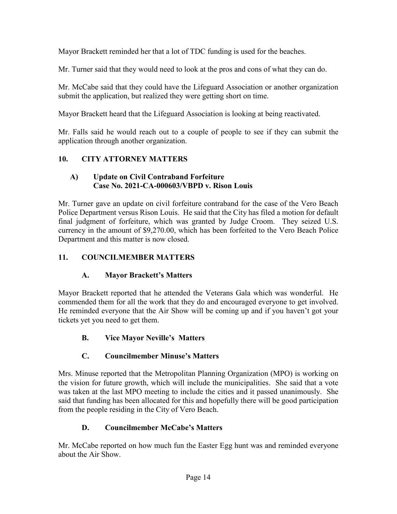Mayor Brackett reminded her that a lot of TDC funding is used for the beaches.

Mr. Turner said that they would need to look at the pros and cons of what they can do.

 submit the application, but realized they were getting short on time. Mr. McCabe said that they could have the Lifeguard Association or another organization

Mayor Brackett heard that the Lifeguard Association is looking at being reactivated.

Mr. Falls said he would reach out to a couple of people to see if they can submit the application through another organization.

### **10. CITY ATTORNEY MATTERS**

#### **A) Update on Civil Contraband Forfeiture Case No. 2021-CA-000603/VBPD v. Rison Louis**

 Mr. Turner gave an update on civil forfeiture contraband for the case of the Vero Beach final judgment of forfeiture, which was granted by Judge Croom. They seized U.S. Police Department versus Rison Louis. He said that the City has filed a motion for default currency in the amount of [\\$9,270.00](https://9,270.00), which has been forfeited to the Vero Beach Police Department and this matter is now closed.

#### **11. COUNCILMEMBER MATTERS**

#### **A. Mayor Brackett's Matters**

 Mayor Brackett reported that he attended the Veterans Gala which was wonderful. He He reminded everyone that the Air Show will be coming up and if you haven't got your tickets yet you need to get them. commended them for all the work that they do and encouraged everyone to get involved.

#### **B. Vice Mayor Neville's Matters**

## **C. Councilmember Minuse's Matters**

 the vision for future growth, which will include the municipalities. She said that a vote from the people residing in the City of Vero Beach. Mrs. Minuse reported that the Metropolitan Planning Organization (MPO) is working on was taken at the last MPO meeting to include the cities and it passed unanimously. She said that funding has been allocated for this and hopefully there will be good participation

#### **D. Councilmember McCabe's Matters**

Mr. McCabe reported on how much fun the Easter Egg hunt was and reminded everyone about the Air Show.